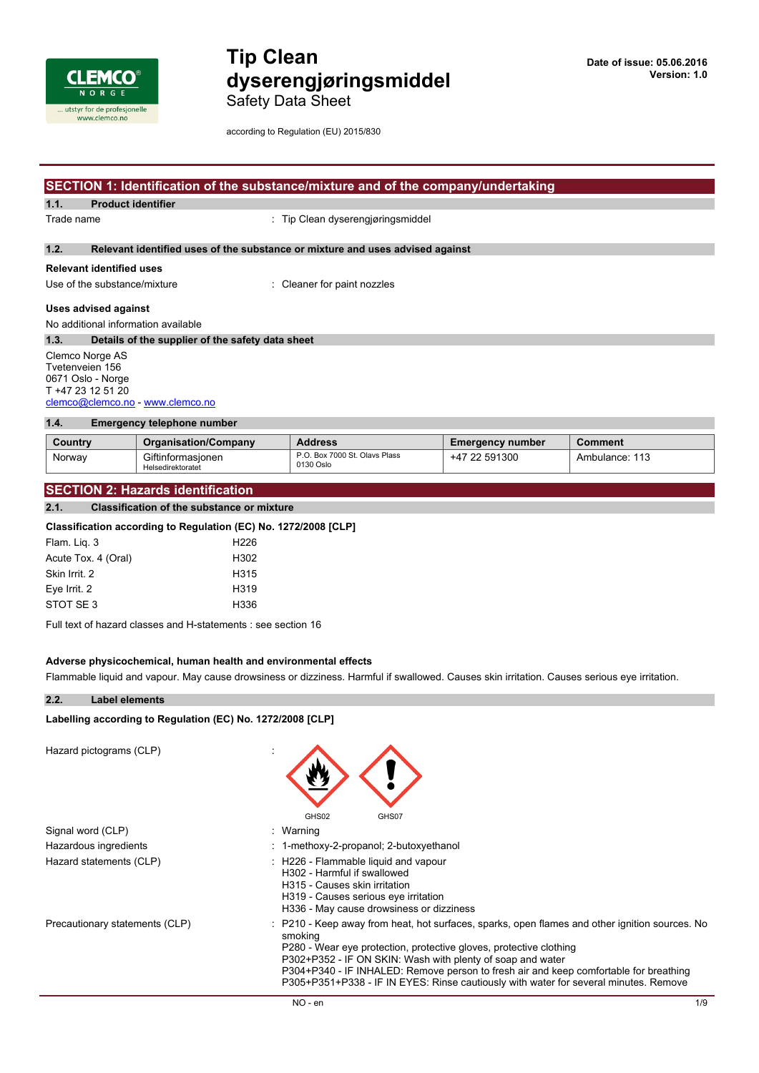

Safety Data Sheet

according to Regulation (EU) 2015/830

### **SECTION 1: Identification of the substance/mixture and of the company/undertaking**

**1.1. Product identifier**

Trade name  $\qquad \qquad$  : Tip Clean dyserengiøringsmiddel

#### **1.2. Relevant identified uses of the substance or mixture and uses advised against**

#### **Relevant identified uses**

Use of the substance/mixture : Cleaner for paint nozzles

### **Uses advised against**

No additional information available

| 1.3.                             | Details of the supplier of the safety data sheet |  |  |  |  |
|----------------------------------|--------------------------------------------------|--|--|--|--|
| Clemco Norge AS                  |                                                  |  |  |  |  |
|                                  | Tvetenveien 156                                  |  |  |  |  |
| 0671 Oslo - Norge                |                                                  |  |  |  |  |
| T +47 23 12 51 20                |                                                  |  |  |  |  |
| clemco@clemco.no - www.clemco.no |                                                  |  |  |  |  |

### **1.4. Emergency telephone number**

| Country | <b>Organisation/Company</b>            | <b>Address</b>                             | <b>Emergency number</b> | <b>Comment</b> |  |
|---------|----------------------------------------|--------------------------------------------|-------------------------|----------------|--|
| Norway  | Giftinformasionen<br>Helsedirektoratet | P.O. Box 7000 St. Olavs Plass<br>0130 Oslo | +47 22 591300           | Ambulance: 113 |  |

#### **SECTION 2: Hazards identification**

#### **2.1. Classification of the substance or mixture**

#### **Classification according to Regulation (EC) No. 1272/2008 [CLP]**

| Flam. Lig. 3        | H <sub>226</sub>  |
|---------------------|-------------------|
| Acute Tox. 4 (Oral) | H <sub>302</sub>  |
| Skin Irrit. 2       | H <sub>315</sub>  |
| Eve Irrit. 2        | H <sub>3</sub> 19 |
| STOT SE 3           | H336              |
|                     |                   |

Full text of hazard classes and H-statements : see section 16

#### **Adverse physicochemical, human health and environmental effects**

Flammable liquid and vapour. May cause drowsiness or dizziness. Harmful if swallowed. Causes skin irritation. Causes serious eye irritation.

 $\overline{\phantom{a}}$ 

#### **2.2. Label elements**

#### **Labelling** according to Regulation (EC) No. 1272/2008 [CLP]

Hazard pictograms (CLP) :

| Hazard pictograms (CLP)        | GHS02<br>GHS07                                                                                                                                                                                                                                                                                                                                                                                                                 |
|--------------------------------|--------------------------------------------------------------------------------------------------------------------------------------------------------------------------------------------------------------------------------------------------------------------------------------------------------------------------------------------------------------------------------------------------------------------------------|
| Signal word (CLP)              | Warning                                                                                                                                                                                                                                                                                                                                                                                                                        |
| Hazardous ingredients          | : 1-methoxy-2-propanol; 2-butoxyethanol                                                                                                                                                                                                                                                                                                                                                                                        |
| Hazard statements (CLP)        | : H226 - Flammable liquid and vapour<br>H302 - Harmful if swallowed<br>H315 - Causes skin irritation<br>H319 - Causes serious eye irritation<br>H336 - May cause drowsiness or dizziness                                                                                                                                                                                                                                       |
| Precautionary statements (CLP) | : P210 - Keep away from heat, hot surfaces, sparks, open flames and other ignition sources. No<br>smoking<br>P280 - Wear eye protection, protective gloves, protective clothing<br>P302+P352 - IF ON SKIN: Wash with plenty of soap and water<br>P304+P340 - IF INHALED: Remove person to fresh air and keep comfortable for breathing<br>P305+P351+P338 - IF IN EYES: Rinse cautiously with water for several minutes. Remove |

 $\blacktriangle$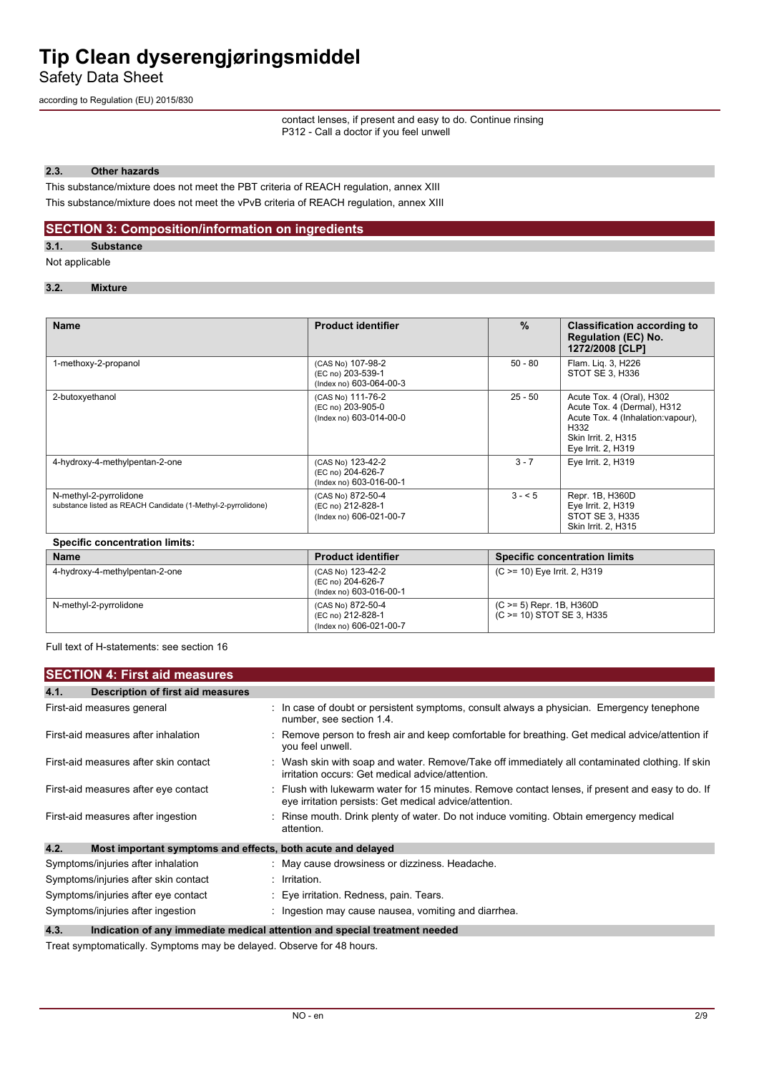Safety Data Sheet

according to Regulation (EU) 2015/830

contact lenses, if present and easy to do. Continue rinsing P312 - Call a doctor if you feel unwell

#### **2.3. Other hazards**

This substance/mixture does not meet the PBT criteria of REACH regulation, annex XIII This substance/mixture does not meet the vPvB criteria of REACH regulation, annex XIII

#### **SECTION 3: Composition/information on ingredients**

**3.1. Substance**

Not applicable

#### **3.2. Mixture**

| <b>Name</b>                                                                            | <b>Product identifier</b>                                         | $\frac{9}{6}$ | <b>Classification according to</b><br><b>Regulation (EC) No.</b><br>1272/2008 [CLP]                                                                 |  |
|----------------------------------------------------------------------------------------|-------------------------------------------------------------------|---------------|-----------------------------------------------------------------------------------------------------------------------------------------------------|--|
| 1-methoxy-2-propanol                                                                   | (CAS No) 107-98-2<br>(EC no) 203-539-1<br>(Index no) 603-064-00-3 | $50 - 80$     | Flam. Lig. 3, H226<br>STOT SE 3, H336                                                                                                               |  |
| 2-butoxyethanol                                                                        | (CAS No) 111-76-2<br>(EC no) 203-905-0<br>(Index no) 603-014-00-0 | $25 - 50$     | Acute Tox. 4 (Oral), H302<br>Acute Tox. 4 (Dermal), H312<br>Acute Tox. 4 (Inhalation: vapour),<br>H332<br>Skin Irrit. 2, H315<br>Eye Irrit. 2, H319 |  |
| 4-hydroxy-4-methylpentan-2-one                                                         | (CAS No) 123-42-2<br>(EC no) 204-626-7<br>(Index no) 603-016-00-1 | $3 - 7$       | Eye Irrit. 2, H319                                                                                                                                  |  |
| N-methyl-2-pyrrolidone<br>substance listed as REACH Candidate (1-Methyl-2-pyrrolidone) | (CAS No) 872-50-4<br>(EC no) 212-828-1<br>(Index no) 606-021-00-7 | $3 - 5$       | Repr. 1B, H360D<br>Eye Irrit. 2, H319<br>STOT SE 3, H335<br>Skin Irrit. 2, H315                                                                     |  |
| <b>Specific concentration limits:</b>                                                  |                                                                   |               |                                                                                                                                                     |  |
| <b>Name</b>                                                                            | <b>Product identifier</b>                                         |               | <b>Specific concentration limits</b>                                                                                                                |  |

| name                           | TVUUVL IUVIILIIIVI                                                | <b>ODGUING CONGENTERNO IN INITIA</b>                     |
|--------------------------------|-------------------------------------------------------------------|----------------------------------------------------------|
| 4-hydroxy-4-methylpentan-2-one | (CAS No) 123-42-2<br>(EC no) 204-626-7<br>(Index no) 603-016-00-1 | (C >= 10) Eye Irrit. 2, H319                             |
| N-methyl-2-pyrrolidone         | (CAS No) 872-50-4<br>(EC no) 212-828-1<br>(Index no) 606-021-00-7 | $(C \ge 5)$ Repr. 1B, H360D<br>(C >= 10) STOT SE 3, H335 |

Full text of H-statements: see section 16

|      | <b>SECTION 4: First aid measures</b>                        |                                                                                                                                                            |
|------|-------------------------------------------------------------|------------------------------------------------------------------------------------------------------------------------------------------------------------|
| 4.1. | Description of first aid measures                           |                                                                                                                                                            |
|      | First-aid measures general                                  | : In case of doubt or persistent symptoms, consult always a physician. Emergency tenephone<br>number, see section 1.4.                                     |
|      | First-aid measures after inhalation                         | : Remove person to fresh air and keep comfortable for breathing. Get medical advice/attention if<br>you feel unwell.                                       |
|      | First-aid measures after skin contact                       | : Wash skin with soap and water. Remove/Take off immediately all contaminated clothing. If skin<br>irritation occurs: Get medical advice/attention.        |
|      | First-aid measures after eye contact                        | : Flush with lukewarm water for 15 minutes. Remove contact lenses, if present and easy to do. If<br>eye irritation persists: Get medical advice/attention. |
|      | First-aid measures after ingestion                          | : Rinse mouth. Drink plenty of water. Do not induce vomiting. Obtain emergency medical<br>attention.                                                       |
| 4.2. | Most important symptoms and effects, both acute and delayed |                                                                                                                                                            |
|      | Symptoms/injuries after inhalation                          | : May cause drowsiness or dizziness. Headache.                                                                                                             |
|      | Symptoms/injuries after skin contact                        | : Irritation.                                                                                                                                              |
|      | Symptoms/injuries after eye contact                         | : Eye irritation. Redness, pain. Tears.                                                                                                                    |
|      | Symptoms/injuries after ingestion                           | : Ingestion may cause nausea, vomiting and diarrhea.                                                                                                       |
| 4.3. |                                                             | Indication of any immediate medical attention and special treatment needed                                                                                 |

Treat symptomatically. Symptoms may be delayed. Observe for 48 hours.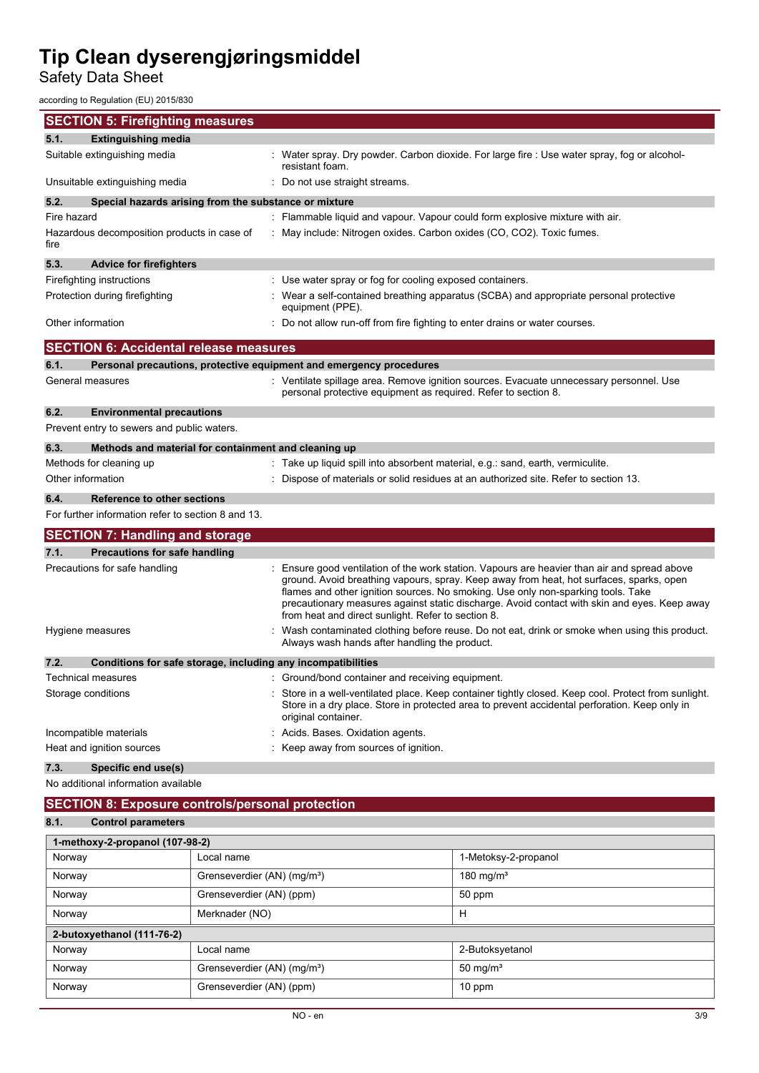Safety Data Sheet

according to Regulation (EU) 2015/830

| <b>SECTION 5: Firefighting measures</b>                                     |                                                                                                                                                                                                                                                                                                                                                                                                                                   |
|-----------------------------------------------------------------------------|-----------------------------------------------------------------------------------------------------------------------------------------------------------------------------------------------------------------------------------------------------------------------------------------------------------------------------------------------------------------------------------------------------------------------------------|
| <b>Extinguishing media</b><br>5.1.                                          |                                                                                                                                                                                                                                                                                                                                                                                                                                   |
| Suitable extinguishing media                                                | : Water spray. Dry powder. Carbon dioxide. For large fire : Use water spray, fog or alcohol-<br>resistant foam.                                                                                                                                                                                                                                                                                                                   |
| Unsuitable extinguishing media                                              | : Do not use straight streams.                                                                                                                                                                                                                                                                                                                                                                                                    |
| 5.2.<br>Special hazards arising from the substance or mixture               |                                                                                                                                                                                                                                                                                                                                                                                                                                   |
| Fire hazard                                                                 | : Flammable liquid and vapour. Vapour could form explosive mixture with air.                                                                                                                                                                                                                                                                                                                                                      |
| Hazardous decomposition products in case of<br>fire                         | : May include: Nitrogen oxides. Carbon oxides (CO, CO2). Toxic fumes.                                                                                                                                                                                                                                                                                                                                                             |
| 5.3.<br><b>Advice for firefighters</b>                                      |                                                                                                                                                                                                                                                                                                                                                                                                                                   |
| Firefighting instructions                                                   | : Use water spray or fog for cooling exposed containers.                                                                                                                                                                                                                                                                                                                                                                          |
| Protection during firefighting                                              | : Wear a self-contained breathing apparatus (SCBA) and appropriate personal protective<br>equipment (PPE).                                                                                                                                                                                                                                                                                                                        |
| Other information                                                           | : Do not allow run-off from fire fighting to enter drains or water courses.                                                                                                                                                                                                                                                                                                                                                       |
| <b>SECTION 6: Accidental release measures</b>                               |                                                                                                                                                                                                                                                                                                                                                                                                                                   |
| Personal precautions, protective equipment and emergency procedures<br>6.1. |                                                                                                                                                                                                                                                                                                                                                                                                                                   |
| General measures                                                            | : Ventilate spillage area. Remove ignition sources. Evacuate unnecessary personnel. Use<br>personal protective equipment as required. Refer to section 8.                                                                                                                                                                                                                                                                         |
| 6.2.<br><b>Environmental precautions</b>                                    |                                                                                                                                                                                                                                                                                                                                                                                                                                   |
| Prevent entry to sewers and public waters.                                  |                                                                                                                                                                                                                                                                                                                                                                                                                                   |
| Methods and material for containment and cleaning up<br>6.3.                |                                                                                                                                                                                                                                                                                                                                                                                                                                   |
| Methods for cleaning up                                                     | : Take up liquid spill into absorbent material, e.g.: sand, earth, vermiculite.                                                                                                                                                                                                                                                                                                                                                   |
| Other information                                                           | Dispose of materials or solid residues at an authorized site. Refer to section 13.                                                                                                                                                                                                                                                                                                                                                |
| 6.4.<br><b>Reference to other sections</b>                                  |                                                                                                                                                                                                                                                                                                                                                                                                                                   |
| For further information refer to section 8 and 13.                          |                                                                                                                                                                                                                                                                                                                                                                                                                                   |
| <b>SECTION 7: Handling and storage</b>                                      |                                                                                                                                                                                                                                                                                                                                                                                                                                   |
| 7.1.<br><b>Precautions for safe handling</b>                                |                                                                                                                                                                                                                                                                                                                                                                                                                                   |
| Precautions for safe handling                                               | : Ensure good ventilation of the work station. Vapours are heavier than air and spread above<br>ground. Avoid breathing vapours, spray. Keep away from heat, hot surfaces, sparks, open<br>flames and other ignition sources. No smoking. Use only non-sparking tools. Take<br>precautionary measures against static discharge. Avoid contact with skin and eyes. Keep away<br>from heat and direct sunlight. Refer to section 8. |
| Hygiene measures                                                            | : Wash contaminated clothing before reuse. Do not eat, drink or smoke when using this product.<br>Always wash hands after handling the product.                                                                                                                                                                                                                                                                                   |
| 7.2.<br>Conditions for safe storage, including any incompatibilities        |                                                                                                                                                                                                                                                                                                                                                                                                                                   |
| Technical measures                                                          | : Ground/bond container and receiving equipment.                                                                                                                                                                                                                                                                                                                                                                                  |
| Storage conditions                                                          | Store in a well-ventilated place. Keep container tightly closed. Keep cool. Protect from sunlight.<br>Store in a dry place. Store in protected area to prevent accidental perforation. Keep only in<br>original container.                                                                                                                                                                                                        |
| Incompatible materials                                                      | Acids. Bases. Oxidation agents.                                                                                                                                                                                                                                                                                                                                                                                                   |
| Heat and ignition sources                                                   | : Keep away from sources of ignition.                                                                                                                                                                                                                                                                                                                                                                                             |
| 7.3.<br>Specific end use(s)                                                 |                                                                                                                                                                                                                                                                                                                                                                                                                                   |

No additional information available

### **SECTION 8: Exposure controls/personal protection**

### **8.1. Control parameters**

| 1-methoxy-2-propanol (107-98-2) |                                         |                       |  |  |
|---------------------------------|-----------------------------------------|-----------------------|--|--|
| Norway                          | Local name                              | 1-Metoksy-2-propanol  |  |  |
| Norway                          | Grenseverdier (AN) (mg/m <sup>3</sup> ) | 180 mg/m <sup>3</sup> |  |  |
| Norway                          | Grenseverdier (AN) (ppm)                | 50 ppm                |  |  |
| Norway                          | Merknader (NO)                          | H                     |  |  |
| 2-butoxyethanol (111-76-2)      |                                         |                       |  |  |
| Norway                          | Local name                              | 2-Butoksyetanol       |  |  |
| Norway                          | Grenseverdier (AN) (mg/m <sup>3</sup> ) | 50 mg/m <sup>3</sup>  |  |  |
| Norway                          | Grenseverdier (AN) (ppm)                | 10 ppm                |  |  |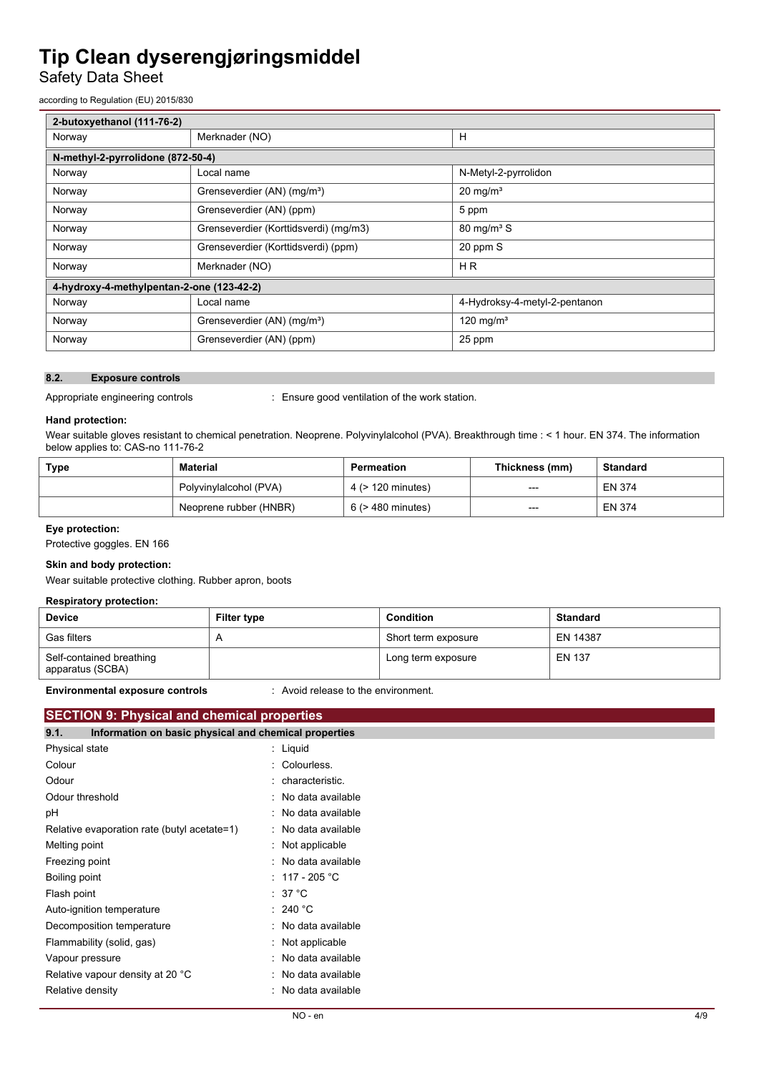## Safety Data Sheet

according to Regulation (EU) 2015/830

| 2-butoxyethanol (111-76-2)                |                                         |                               |  |  |
|-------------------------------------------|-----------------------------------------|-------------------------------|--|--|
| Norway                                    | Merknader (NO)                          | Н                             |  |  |
| N-methyl-2-pyrrolidone (872-50-4)         |                                         |                               |  |  |
| Norway                                    | Local name                              | N-Metyl-2-pyrrolidon          |  |  |
| Norway                                    | Grenseverdier (AN) (mg/m <sup>3</sup> ) | $20 \text{ mg/m}^3$           |  |  |
| Norway                                    | Grenseverdier (AN) (ppm)                | 5 ppm                         |  |  |
| Norway                                    | Grenseverdier (Korttidsverdi) (mg/m3)   | $80 \text{ mg/m}^3$ S         |  |  |
| Norway                                    | Grenseverdier (Korttidsverdi) (ppm)     | 20 ppm S                      |  |  |
| Norway                                    | Merknader (NO)                          | H <sub>R</sub>                |  |  |
| 4-hydroxy-4-methylpentan-2-one (123-42-2) |                                         |                               |  |  |
| Norway                                    | Local name                              | 4-Hydroksy-4-metyl-2-pentanon |  |  |
| Norway                                    | Grenseverdier (AN) (mg/m <sup>3</sup> ) | 120 mg/m <sup>3</sup>         |  |  |
| Norway                                    | Grenseverdier (AN) (ppm)                | 25 ppm                        |  |  |

#### **8.2. Exposure controls**

Appropriate engineering controls : Ensure good ventilation of the work station.

#### **Hand protection:**

Wear suitable gloves resistant to chemical penetration. Neoprene. Polyvinylalcohol (PVA). Breakthrough time : < 1 hour. EN 374. The information below applies to: CAS-no 111-76-2

| Type | Material               | Permeation        | Thickness (mm) | Standard      |
|------|------------------------|-------------------|----------------|---------------|
|      | Polyvinylalcohol (PVA) | 4 (> 120 minutes) | $---$          | <b>EN 374</b> |
|      | Neoprene rubber (HNBR) | 6 (> 480 minutes) | $---$          | <b>EN 374</b> |

#### **Eye protection:**

Protective goggles. EN 166

#### **Skin and body protection:**

Wear suitable protective clothing. Rubber apron, boots

#### **Respiratory protection:**

| <b>Device</b>                                | <b>Filter type</b> | <b>Condition</b>    | <b>Standard</b> |
|----------------------------------------------|--------------------|---------------------|-----------------|
| <b>Gas filters</b>                           |                    | Short term exposure | EN 14387        |
| Self-contained breathing<br>apparatus (SCBA) |                    | Long term exposure  | <b>EN 137</b>   |

**Environmental exposure controls** : Avoid release to the environment.

### **SECTION 9: Physical and chemical properties**

| Information on basic physical and chemical properties<br>9.1. |                          |
|---------------------------------------------------------------|--------------------------|
| Physical state                                                | $:$ Liquid               |
| Colour                                                        | : Colourless.            |
| Odour                                                         | : characteristic.        |
| Odour threshold                                               | : No data available      |
| рH                                                            | : No data available      |
| Relative evaporation rate (butyl acetate=1)                   | : No data available      |
| Melting point                                                 | : Not applicable         |
| Freezing point                                                | : No data available      |
| Boiling point                                                 | : 117 - 205 $^{\circ}$ C |
| Flash point                                                   | $:37^{\circ}$ C          |
| Auto-ignition temperature                                     | : 240 °C                 |
| Decomposition temperature                                     | : No data available      |
| Flammability (solid, gas)                                     | $:$ Not applicable       |
| Vapour pressure                                               | : No data available      |
| Relative vapour density at 20 °C                              | : No data available      |
| Relative density                                              | No data available        |
|                                                               |                          |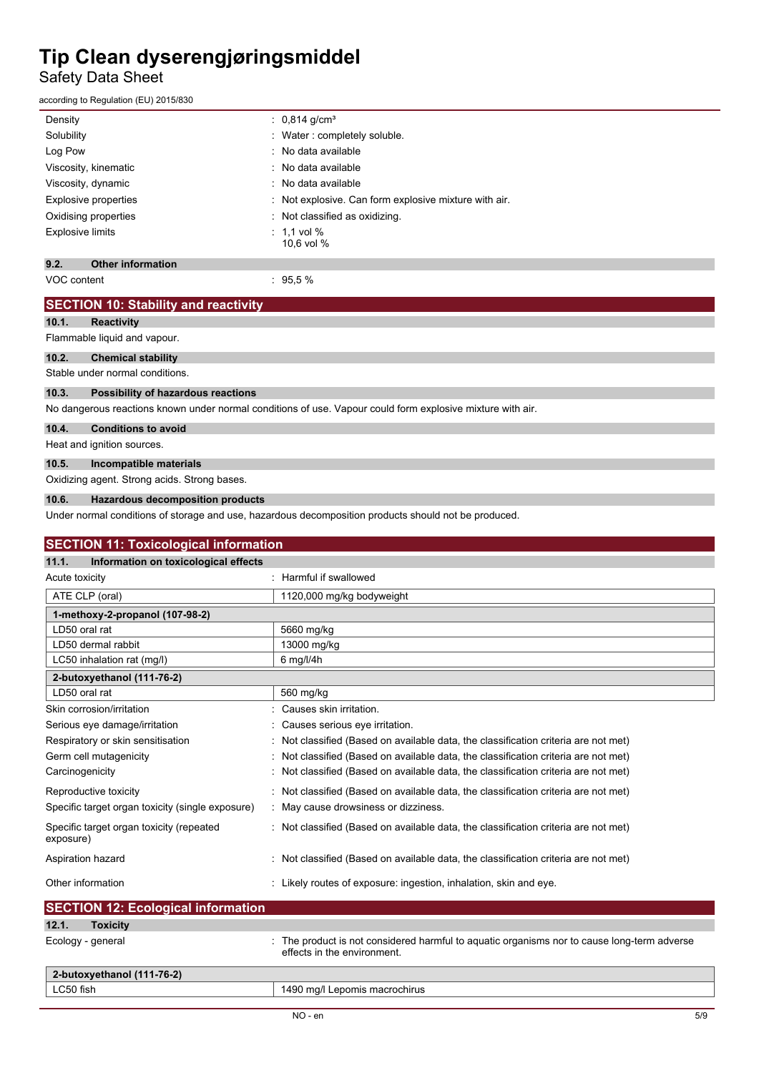Safety Data Sheet

according to Regulation (EU) 2015/830

| Density                          | : $0.814$ g/cm <sup>3</sup>                         |
|----------------------------------|-----------------------------------------------------|
| Solubility                       | : Water: completely soluble.                        |
| Log Pow                          | : No data available                                 |
| Viscosity, kinematic             | : No data available                                 |
| Viscosity, dynamic               | : No data available                                 |
| Explosive properties             | Not explosive. Can form explosive mixture with air. |
| Oxidising properties             | Not classified as oxidizing.                        |
| <b>Explosive limits</b>          | $\therefore$ 1.1 vol %<br>10.6 vol %                |
| 9.2.<br><b>Other information</b> |                                                     |

VOC content : 95,5 %

| <b>SECTION 10: Stability and reactivity</b>           |                                                                                                            |
|-------------------------------------------------------|------------------------------------------------------------------------------------------------------------|
| <b>Reactivity</b><br>10.1.                            |                                                                                                            |
| Flammable liquid and vapour.                          |                                                                                                            |
| 10.2.<br><b>Chemical stability</b>                    |                                                                                                            |
| Stable under normal conditions.                       |                                                                                                            |
| 10.3.<br>Possibility of hazardous reactions           |                                                                                                            |
|                                                       | No dangerous reactions known under normal conditions of use. Vapour could form explosive mixture with air. |
| 10.4.<br><b>Conditions to avoid</b>                   |                                                                                                            |
| Heat and ignition sources.                            |                                                                                                            |
| 10.5.<br>Incompatible materials                       |                                                                                                            |
| Oxidizing agent. Strong acids. Strong bases.          |                                                                                                            |
| <b>Hazardous decomposition products</b><br>10.6.      |                                                                                                            |
|                                                       | Under normal conditions of storage and use, hazardous decomposition products should not be produced.       |
|                                                       |                                                                                                            |
| <b>SECTION 11: Toxicological information</b>          |                                                                                                            |
| 11.1.<br>Information on toxicological effects         |                                                                                                            |
| Acute toxicity                                        | : Harmful if swallowed                                                                                     |
| ATE CLP (oral)                                        | 1120,000 mg/kg bodyweight                                                                                  |
| 1-methoxy-2-propanol (107-98-2)                       |                                                                                                            |
| LD50 oral rat                                         | 5660 mg/kg                                                                                                 |
| LD50 dermal rabbit                                    | 13000 mg/kg                                                                                                |
| LC50 inhalation rat (mg/l)                            | 6 mg/l/4h                                                                                                  |
| 2-butoxyethanol (111-76-2)                            |                                                                                                            |
| LD50 oral rat                                         | 560 mg/kg                                                                                                  |
| Skin corrosion/irritation                             | Causes skin irritation.                                                                                    |
| Serious eye damage/irritation                         | Causes serious eye irritation.                                                                             |
| Respiratory or skin sensitisation                     | Not classified (Based on available data, the classification criteria are not met)                          |
| Germ cell mutagenicity                                | Not classified (Based on available data, the classification criteria are not met)                          |
| Carcinogenicity                                       | Not classified (Based on available data, the classification criteria are not met)                          |
| Reproductive toxicity                                 | Not classified (Based on available data, the classification criteria are not met)                          |
| Specific target organ toxicity (single exposure)      | May cause drowsiness or dizziness.                                                                         |
| Specific target organ toxicity (repeated<br>exposure) | : Not classified (Based on available data, the classification criteria are not met)                        |
| Aspiration hazard                                     | Not classified (Based on available data, the classification criteria are not met)                          |
| Other information                                     | : Likely routes of exposure: ingestion, inhalation, skin and eye.                                          |
| <b>SECTION 12: Ecological information</b>             |                                                                                                            |
| 12.1.<br><b>Toxicity</b>                              |                                                                                                            |

| 2-butoxyethanol (111-76-2) |                               |
|----------------------------|-------------------------------|
| ∟C50 fish                  | 1490 mg/l Lepomis macrochirus |
|                            |                               |

Ecology - general intertainment of the product is not considered harmful to aquatic organisms nor to cause long-term adverse

effects in the environment.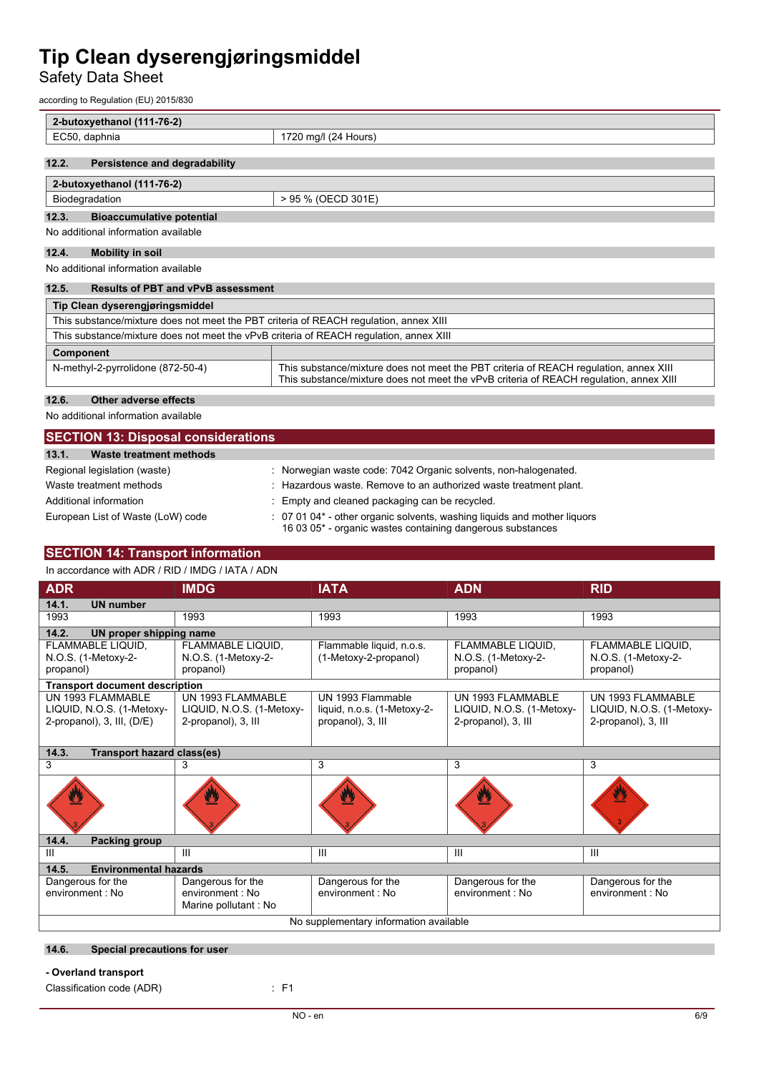Safety Data Sheet

according to Regulation (EU) 2015/830

| 2-butoxyethanol (111-76-2)                                                             |                                                                                                                                                                                 |  |  |
|----------------------------------------------------------------------------------------|---------------------------------------------------------------------------------------------------------------------------------------------------------------------------------|--|--|
| EC50, daphnia                                                                          | 1720 mg/l (24 Hours)                                                                                                                                                            |  |  |
|                                                                                        |                                                                                                                                                                                 |  |  |
| Persistence and degradability<br>12.2.                                                 |                                                                                                                                                                                 |  |  |
| 2-butoxyethanol (111-76-2)                                                             |                                                                                                                                                                                 |  |  |
| Biodegradation                                                                         | > 95 % (OECD 301E)                                                                                                                                                              |  |  |
| 12.3.<br><b>Bioaccumulative potential</b>                                              |                                                                                                                                                                                 |  |  |
| No additional information available                                                    |                                                                                                                                                                                 |  |  |
| 12.4.<br><b>Mobility in soil</b>                                                       |                                                                                                                                                                                 |  |  |
| No additional information available                                                    |                                                                                                                                                                                 |  |  |
| <b>Results of PBT and vPvB assessment</b><br>12.5.                                     |                                                                                                                                                                                 |  |  |
| Tip Clean dyserengjøringsmiddel                                                        |                                                                                                                                                                                 |  |  |
| This substance/mixture does not meet the PBT criteria of REACH regulation, annex XIII  |                                                                                                                                                                                 |  |  |
| This substance/mixture does not meet the vPvB criteria of REACH requiation, annex XIII |                                                                                                                                                                                 |  |  |
| Component                                                                              |                                                                                                                                                                                 |  |  |
| N-methyl-2-pyrrolidone (872-50-4)                                                      | This substance/mixture does not meet the PBT criteria of REACH regulation, annex XIII<br>This substance/mixture does not meet the vPvB criteria of REACH requiation, annex XIII |  |  |
| 12.6.<br>Other adverse effects                                                         |                                                                                                                                                                                 |  |  |

No additional information available

| <b>SECTION 13: Disposal considerations</b> |                                                                                                                                             |  |
|--------------------------------------------|---------------------------------------------------------------------------------------------------------------------------------------------|--|
| 13.1.<br>Waste treatment methods           |                                                                                                                                             |  |
| Regional legislation (waste)               | : Norwegian waste code: 7042 Organic solvents, non-halogenated.                                                                             |  |
| Waste treatment methods                    | : Hazardous waste. Remove to an authorized waste treatment plant.                                                                           |  |
| Additional information                     | : Empty and cleaned packaging can be recycled.                                                                                              |  |
| European List of Waste (LoW) code          | $\div$ 07 01 04* - other organic solvents, washing liguids and mother liguors<br>16 03 05* - organic wastes containing dangerous substances |  |

### **SECTION 14: Transport information**

In accordance with ADR / RID / IMDG / IATA / ADN

| <b>ADR</b>                                                                   | <b>IMDG</b>                                                           | <b>IATA</b>                                                           | <b>ADN</b>                                                            | <b>RID</b>                                                            |
|------------------------------------------------------------------------------|-----------------------------------------------------------------------|-----------------------------------------------------------------------|-----------------------------------------------------------------------|-----------------------------------------------------------------------|
| 14.1.<br><b>UN number</b>                                                    |                                                                       |                                                                       |                                                                       |                                                                       |
| 1993                                                                         | 1993                                                                  | 1993                                                                  | 1993                                                                  | 1993                                                                  |
| 14.2.<br><b>UN proper shipping name</b>                                      |                                                                       |                                                                       |                                                                       |                                                                       |
| FLAMMABLE LIQUID,<br>N.O.S. (1-Metoxy-2-<br>propanol)                        | FLAMMABLE LIQUID,<br>N.O.S. (1-Metoxy-2-<br>propanol)                 | Flammable liquid, n.o.s.<br>(1-Metoxy-2-propanol)                     | FLAMMABLE LIQUID.<br>N.O.S. (1-Metoxy-2-<br>propanol)                 | FLAMMABLE LIQUID,<br>N.O.S. (1-Metoxy-2-<br>propanol)                 |
| <b>Transport document description</b>                                        |                                                                       |                                                                       |                                                                       |                                                                       |
| UN 1993 FLAMMABLE<br>LIQUID, N.O.S. (1-Metoxy-<br>2-propanol), 3, III, (D/E) | UN 1993 FLAMMABLE<br>LIQUID, N.O.S. (1-Metoxy-<br>2-propanol), 3, III | UN 1993 Flammable<br>liquid, n.o.s. (1-Metoxy-2-<br>propanol), 3, III | UN 1993 FLAMMABLE<br>LIQUID, N.O.S. (1-Metoxy-<br>2-propanol), 3, III | UN 1993 FLAMMABLE<br>LIQUID, N.O.S. (1-Metoxy-<br>2-propanol), 3, III |
| 14.3.<br><b>Transport hazard class(es)</b>                                   |                                                                       |                                                                       |                                                                       |                                                                       |
| 3                                                                            | 3                                                                     | 3                                                                     | 3                                                                     | 3                                                                     |
|                                                                              |                                                                       |                                                                       |                                                                       |                                                                       |
| 14.4.<br>Packing group                                                       |                                                                       |                                                                       |                                                                       |                                                                       |
| $\mathbf{III}$                                                               | $\mathbf{III}$                                                        | Ш                                                                     | $\mathbf{III}$                                                        | III                                                                   |
| <b>Environmental hazards</b><br>14.5.                                        |                                                                       |                                                                       |                                                                       |                                                                       |
| Dangerous for the<br>environment : No                                        | Dangerous for the<br>environment : No<br>Marine pollutant: No         | Dangerous for the<br>environment : No                                 | Dangerous for the<br>environment : No                                 | Dangerous for the<br>environment : No                                 |
| No supplementary information available                                       |                                                                       |                                                                       |                                                                       |                                                                       |

#### **14.6. Special precautions for user**

**- Overland transport**

Classification code (ADR) : F1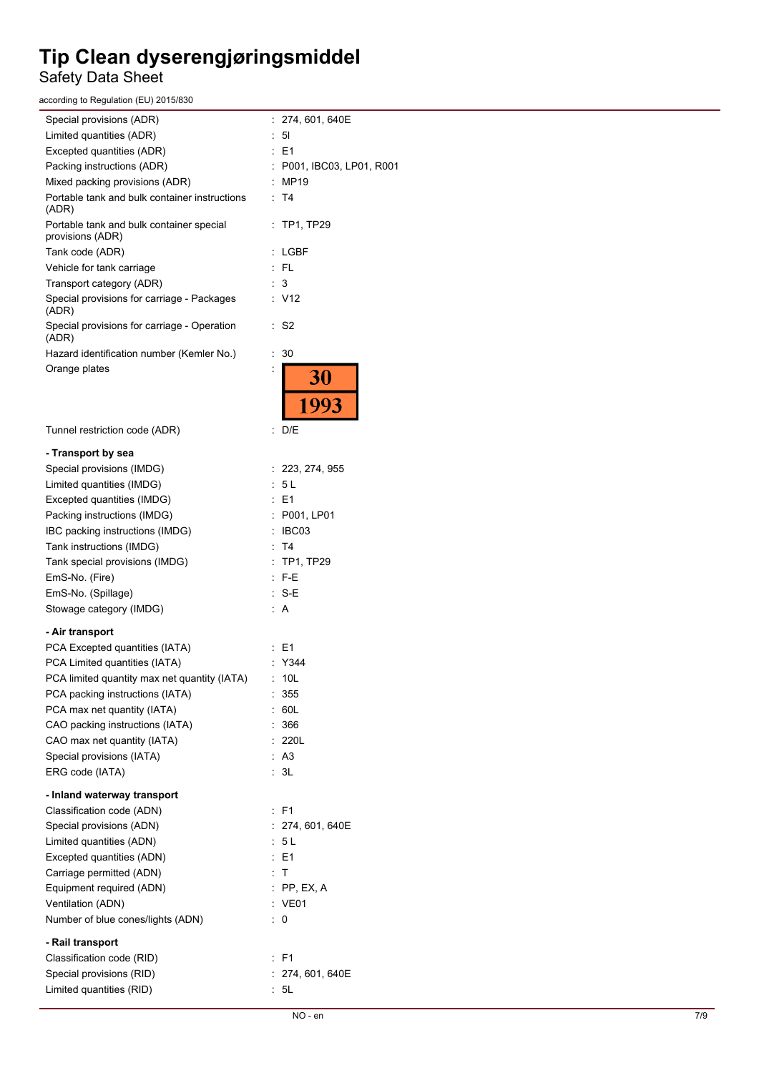## Safety Data Sheet

according to Regulation (EU) 2015/830

| Special provisions (ADR)                                     | : 274, 601, 640E          |
|--------------------------------------------------------------|---------------------------|
| Limited quantities (ADR)                                     | $\therefore$ 5            |
| Excepted quantities (ADR)                                    | $\therefore$ E1           |
| Packing instructions (ADR)                                   | : P001, IBC03, LP01, R001 |
| Mixed packing provisions (ADR)                               | : MP19                    |
| Portable tank and bulk container instructions<br>(ADR)       | : T4                      |
| Portable tank and bulk container special<br>provisions (ADR) | $:$ TP1, TP29             |
| Tank code (ADR)                                              | : LGBF                    |
| Vehicle for tank carriage                                    | : FL                      |
| Transport category (ADR)                                     | : 3                       |
| Special provisions for carriage - Packages<br>(ADR)          | : V12                     |
| Special provisions for carriage - Operation<br>(ADR)         | : S2                      |
| Hazard identification number (Kemler No.)                    | : 30                      |
| Orange plates                                                | 30<br>993                 |
| Tunnel restriction code (ADR)                                | : D/E                     |
| - Transport by sea                                           |                           |
| Special provisions (IMDG)                                    | : 223, 274, 955           |
| Limited quantities (IMDG)                                    | : 5L                      |
| Excepted quantities (IMDG)                                   | E <sub>1</sub><br>÷.      |
| Packing instructions (IMDG)                                  | : P001, LP01              |
| IBC packing instructions (IMDG)                              | IBC03                     |
| Tank instructions (IMDG)                                     | : T4                      |
| Tank special provisions (IMDG)                               | $:$ TP1, TP29             |
| EmS-No. (Fire)                                               | $:$ F-E                   |
| EmS-No. (Spillage)                                           | $: S-E$                   |
| Stowage category (IMDG)                                      | : A                       |
| - Air transport                                              |                           |
| PCA Excepted quantities (IATA)                               | $\therefore$ E1           |
| PCA Limited quantities (IATA)                                | $\therefore$ Y344         |
| PCA limited quantity max net quantity (IATA)                 | : 10L                     |
| PCA packing instructions (IATA)                              | 355                       |
| PCA max net quantity (IATA)                                  | : 60L                     |
| CAO packing instructions (IATA)                              | : 366                     |
| CAO max net quantity (IATA)                                  | : 220L                    |
| Special provisions (IATA)                                    | : A3                      |
| ERG code (IATA)                                              | : 3L                      |
| - Inland waterway transport                                  |                           |
| Classification code (ADN)                                    | : F1                      |
| Special provisions (ADN)                                     | : 274, 601, 640E          |
| Limited quantities (ADN)                                     | : 5L                      |
| Excepted quantities (ADN)                                    | $\therefore$ E1           |
| Carriage permitted (ADN)                                     | $\mathbb{Z}$ T            |
| Equipment required (ADN)                                     | $:$ PP, EX, A             |
| Ventilation (ADN)                                            | : VE01                    |
| Number of blue cones/lights (ADN)                            | $\therefore$ 0            |
| - Rail transport                                             |                           |
| Classification code (RID)                                    | : F1                      |
| Special provisions (RID)                                     | : 274, 601, 640E          |
| Limited quantities (RID)                                     | : 5L                      |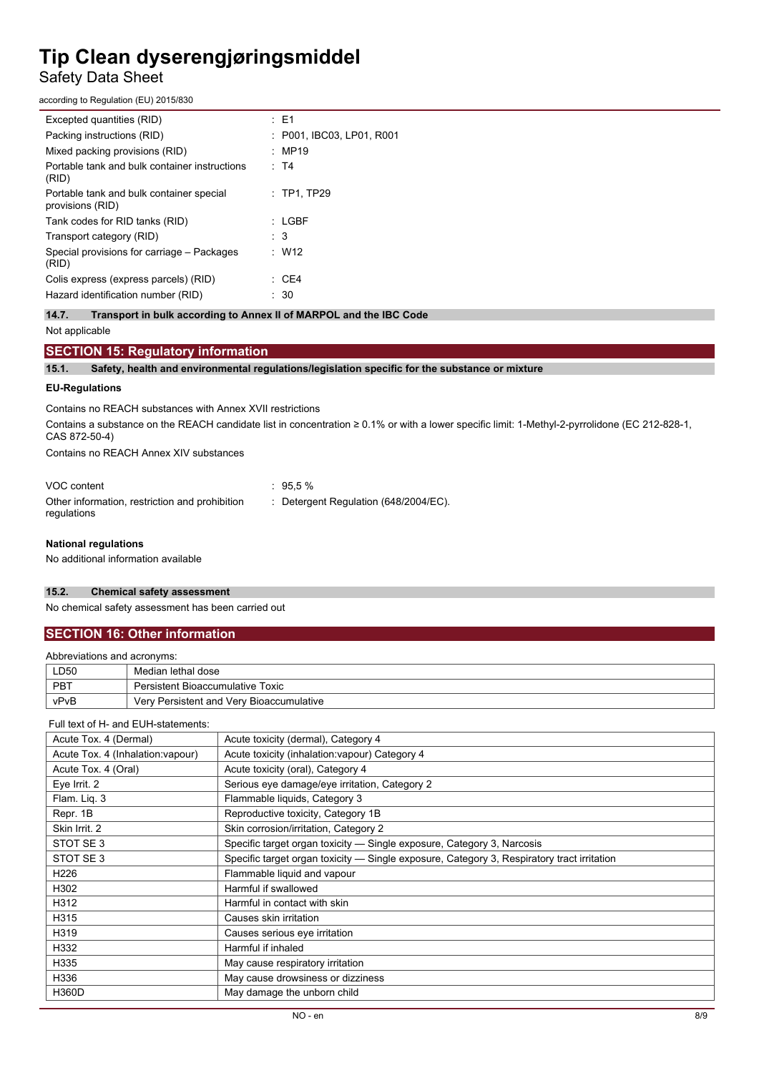### Safety Data Sheet

according to Regulation (EU) 2015/830

| $\therefore$ E1           |
|---------------------------|
| : P001, IBC03, LP01, R001 |
| : MP19                    |
| : T4                      |
| $\therefore$ TP1. TP29    |
| $:$ LGBF                  |
| : 3                       |
| $\therefore$ W12          |
| : CE4                     |
| 30                        |
|                           |

**14.7. Transport in bulk according to Annex II of MARPOL and the IBC Code**

#### Not applicable

#### **SECTION 15: Regulatory information**

**15.1. Safety, health and environmental regulations/legislation specific for the substance or mixture**

#### **EU-Regulations**

Contains no REACH substances with Annex XVII restrictions

Contains a substance on the REACH candidate list in concentration ≥ 0.1% or with a lower specific limit: 1-Methyl-2-pyrrolidone (EC 212-828-1, CAS 872-50-4)

Contains no REACH Annex XIV substances

| VOC content                                                   | $\therefore$ 95.5 %                   |
|---------------------------------------------------------------|---------------------------------------|
| Other information, restriction and prohibition<br>requlations | : Detergent Regulation (648/2004/EC). |

#### **National regulations**

No additional information available

#### **15.2. Chemical safety assessment**

No chemical safety assessment has been carried out

### **SECTION 16: Other information**

| Abbreviations and acronyms: |                                          |  |
|-----------------------------|------------------------------------------|--|
| LD50                        | Median lethal dose                       |  |
| PBT                         | Persistent Bioaccumulative Toxic         |  |
| vPvB                        | Very Persistent and Very Bioaccumulative |  |

#### Full text of H- and EUH-statements:

| Acute Tox. 4 (Dermal)             | Acute toxicity (dermal), Category 4                                                        |
|-----------------------------------|--------------------------------------------------------------------------------------------|
| Acute Tox. 4 (Inhalation: vapour) | Acute toxicity (inhalation: vapour) Category 4                                             |
| Acute Tox. 4 (Oral)               | Acute toxicity (oral), Category 4                                                          |
| Eye Irrit. 2                      | Serious eye damage/eye irritation, Category 2                                              |
| Flam. Liq. 3                      | Flammable liquids, Category 3                                                              |
| Repr. 1B                          | Reproductive toxicity, Category 1B                                                         |
| Skin Irrit. 2                     | Skin corrosion/irritation, Category 2                                                      |
| STOT SE3                          | Specific target organ toxicity — Single exposure, Category 3, Narcosis                     |
| STOT SE3                          | Specific target organ toxicity — Single exposure, Category 3, Respiratory tract irritation |
| H <sub>226</sub>                  | Flammable liquid and vapour                                                                |
| H302                              | Harmful if swallowed                                                                       |
| H312                              | Harmful in contact with skin                                                               |
| H315                              | Causes skin irritation                                                                     |
| H319                              | Causes serious eye irritation                                                              |
| H332                              | Harmful if inhaled                                                                         |
| H335                              | May cause respiratory irritation                                                           |
| H336                              | May cause drowsiness or dizziness                                                          |
| <b>H360D</b>                      | May damage the unborn child                                                                |